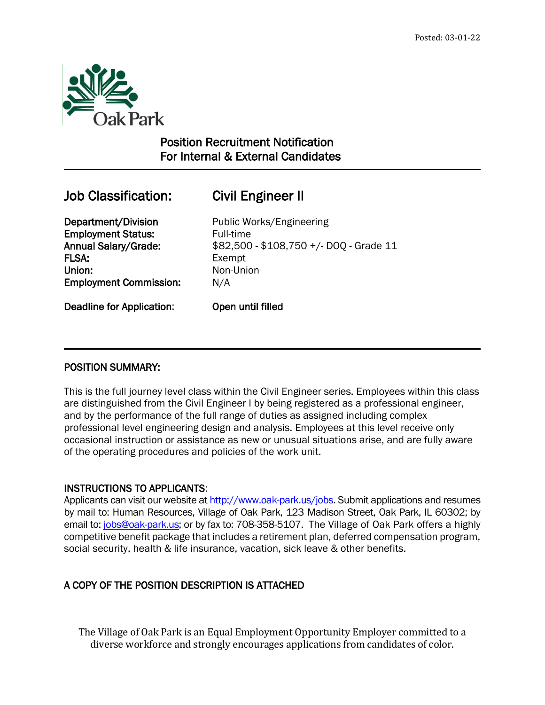

# Position Recruitment Notification For Internal & External Candidates

# Job Classification: Civil Engineer II

 $\overline{a}$ 

Department/Division Public Works/Engineering **Employment Status:** Full-time FLSA: Exempt Union: Non-Union Employment Commission: N/A

Annual Salary/Grade: \$82,500 - \$108,750 +/- DOQ - Grade 11

Deadline for Application: Open until filled

## POSITION SUMMARY:

This is the full journey level class within the Civil Engineer series. Employees within this class are distinguished from the Civil Engineer I by being registered as a professional engineer, and by the performance of the full range of duties as assigned including complex professional level engineering design and analysis. Employees at this level receive only occasional instruction or assistance as new or unusual situations arise, and are fully aware of the operating procedures and policies of the work unit.

## INSTRUCTIONS TO APPLICANTS:

Applicants can visit our website a[t http://www.oak-park.us/j](http://www.oak-park.us/)obs. Submit applications and resumes by mail to: Human Resources, Village of Oak Park, 123 Madison Street, Oak Park, IL 60302; by email to: [jobs@oak-park.us;](mailto:jobs@oak-park.us) or by fax to: 708-358-5107. The Village of Oak Park offers a highly competitive benefit package that includes a retirement plan, deferred compensation program, social security, health & life insurance, vacation, sick leave & other benefits.

# A COPY OF THE POSITION DESCRIPTION IS ATTACHED

The Village of Oak Park is an Equal Employment Opportunity Employer committed to a diverse workforce and strongly encourages applications from candidates of color.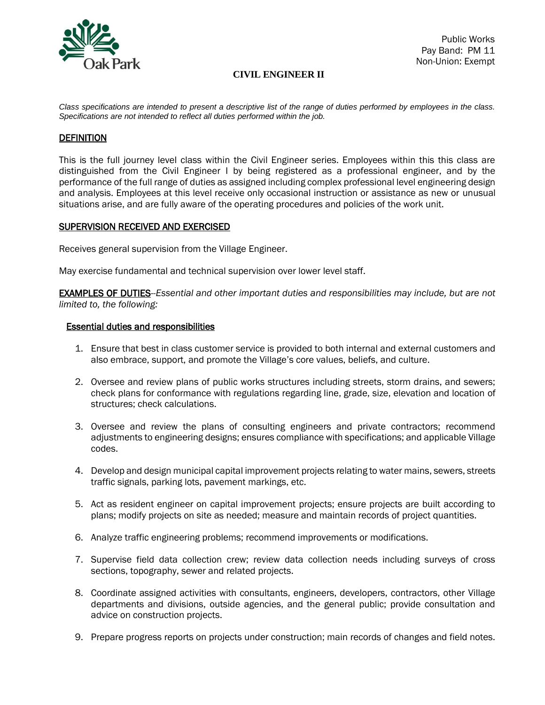

### **CIVIL ENGINEER II**

*Class specifications are intended to present a descriptive list of the range of duties performed by employees in the class. Specifications are not intended to reflect all duties performed within the job.*

#### DEFINITION

This is the full journey level class within the Civil Engineer series. Employees within this this class are distinguished from the Civil Engineer I by being registered as a professional engineer, and by the performance of the full range of duties as assigned including complex professional level engineering design and analysis. Employees at this level receive only occasional instruction or assistance as new or unusual situations arise, and are fully aware of the operating procedures and policies of the work unit.

#### SUPERVISION RECEIVED AND EXERCISED

Receives general supervision from the Village Engineer.

May exercise fundamental and technical supervision over lower level staff.

EXAMPLES OF DUTIES--*Essential and other important duties and responsibilities may include, but are not limited to, the following:*

#### Essential duties and responsibilities

- 1. Ensure that best in class customer service is provided to both internal and external customers and also embrace, support, and promote the Village's core values, beliefs, and culture.
- 2. Oversee and review plans of public works structures including streets, storm drains, and sewers; check plans for conformance with regulations regarding line, grade, size, elevation and location of structures; check calculations.
- 3. Oversee and review the plans of consulting engineers and private contractors; recommend adjustments to engineering designs; ensures compliance with specifications; and applicable Village codes.
- 4. Develop and design municipal capital improvement projects relating to water mains, sewers, streets traffic signals, parking lots, pavement markings, etc.
- 5. Act as resident engineer on capital improvement projects; ensure projects are built according to plans; modify projects on site as needed; measure and maintain records of project quantities.
- 6. Analyze traffic engineering problems; recommend improvements or modifications.
- 7. Supervise field data collection crew; review data collection needs including surveys of cross sections, topography, sewer and related projects.
- 8. Coordinate assigned activities with consultants, engineers, developers, contractors, other Village departments and divisions, outside agencies, and the general public; provide consultation and advice on construction projects.
- 9. Prepare progress reports on projects under construction; main records of changes and field notes.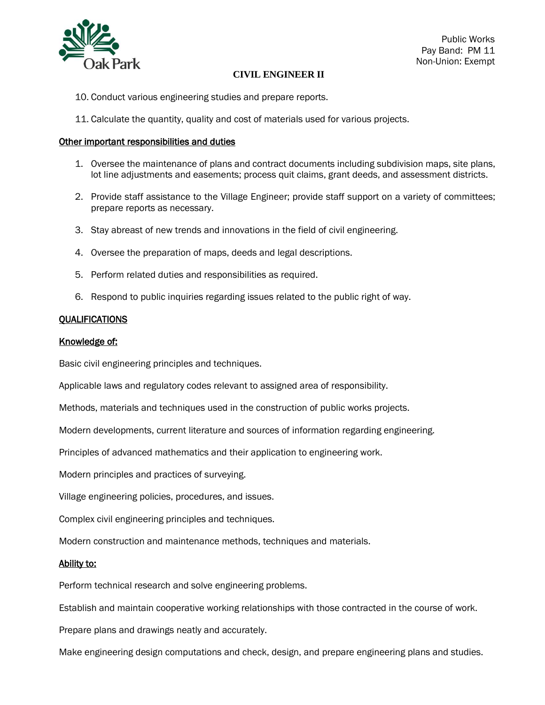

#### **CIVIL ENGINEER II**

- 10. Conduct various engineering studies and prepare reports.
- 11. Calculate the quantity, quality and cost of materials used for various projects.

#### Other important responsibilities and duties

- 1. Oversee the maintenance of plans and contract documents including subdivision maps, site plans, lot line adjustments and easements; process quit claims, grant deeds, and assessment districts.
- 2. Provide staff assistance to the Village Engineer; provide staff support on a variety of committees; prepare reports as necessary.
- 3. Stay abreast of new trends and innovations in the field of civil engineering.
- 4. Oversee the preparation of maps, deeds and legal descriptions.
- 5. Perform related duties and responsibilities as required.
- 6. Respond to public inquiries regarding issues related to the public right of way.

#### QUALIFICATIONS

#### Knowledge of:

Basic civil engineering principles and techniques.

Applicable laws and regulatory codes relevant to assigned area of responsibility.

Methods, materials and techniques used in the construction of public works projects.

Modern developments, current literature and sources of information regarding engineering.

Principles of advanced mathematics and their application to engineering work.

Modern principles and practices of surveying.

Village engineering policies, procedures, and issues.

Complex civil engineering principles and techniques.

Modern construction and maintenance methods, techniques and materials.

#### Ability to:

Perform technical research and solve engineering problems.

Establish and maintain cooperative working relationships with those contracted in the course of work.

Prepare plans and drawings neatly and accurately.

Make engineering design computations and check, design, and prepare engineering plans and studies.